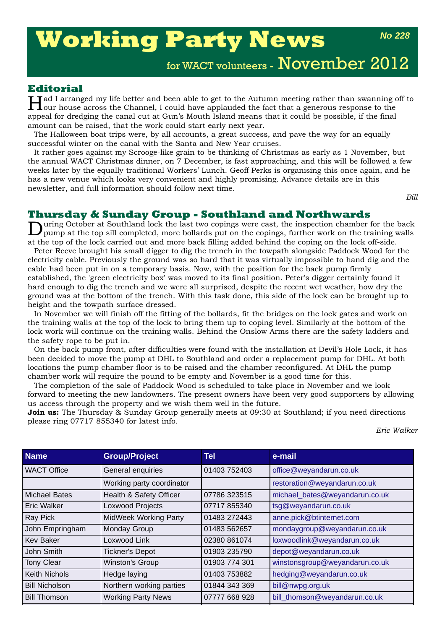# **Working Party News**

*No 228*

for WACT volunteers - November 2012

#### **Editorial**

**Tad I arranged my life better and been able to get to the Autumn meeting rather than swanning off to L**our house across the Channel, I could have applauded the fact that a generous response to the appeal for dredging the canal cut at Gun's Mouth Island means that it could be possible, if the final amount can be raised, that the work could start early next year.

The Halloween boat trips were, by all accounts, a great success, and pave the way for an equally successful winter on the canal with the Santa and New Year cruises.

It rather goes against my Scrooge-like grain to be thinking of Christmas as early as 1 November, but the annual WACT Christmas dinner, on 7 December, is fast approaching, and this will be followed a few weeks later by the equally traditional Workers' Lunch. Geoff Perks is organising this once again, and he has a new venue which looks very convenient and highly promising. Advance details are in this newsletter, and full information should follow next time.

*Bill*

## **Thursday & Sunday Group - Southland and Northwards**<br>During October at Southland lock the last two copings were cast, the inspection chamber for the back

During October at Southland lock the last two copings were cast, the inspection chamber for the back pump at the top sill completed, more bollards put on the copings, further work on the training walls at the top of the lock carried out and more back filling added behind the coping on the lock off-side.

Peter Reeve brought his small digger to dig the trench in the towpath alongside Paddock Wood for the electricity cable. Previously the ground was so hard that it was virtually impossible to hand dig and the cable had been put in on a temporary basis. Now, with the position for the back pump firmly established, the 'green electricity box' was moved to its final position. Peter's digger certainly found it hard enough to dig the trench and we were all surprised, despite the recent wet weather, how dry the ground was at the bottom of the trench. With this task done, this side of the lock can be brought up to height and the towpath surface dressed.

In November we will finish off the fitting of the bollards, fit the bridges on the lock gates and work on the training walls at the top of the lock to bring them up to coping level. Similarly at the bottom of the lock work will continue on the training walls. Behind the Onslow Arms there are the safety ladders and the safety rope to be put in.

On the back pump front, after difficulties were found with the installation at Devil's Hole Lock, it has been decided to move the pump at DHL to Southland and order a replacement pump for DHL. At both locations the pump chamber floor is to be raised and the chamber reconfigured. At DHL the pump chamber work will require the pound to be empty and November is a good time for this.

The completion of the sale of Paddock Wood is scheduled to take place in November and we look forward to meeting the new landowners. The present owners have been very good supporters by allowing us access through the property and we wish them well in the future.

**Join us:** The Thursday & Sunday Group generally meets at 09:30 at Southland; if you need directions please ring 07717 855340 for latest info.

*Eric Walker*

| <b>Name</b>           | <b>Group/Project</b>         | Tel           | e-mail                         |
|-----------------------|------------------------------|---------------|--------------------------------|
| <b>WACT Office</b>    | General enquiries            | 01403 752403  | office@weyandarun.co.uk        |
|                       | Working party coordinator    |               | restoration@weyandarun.co.uk   |
| <b>Michael Bates</b>  | Health & Safety Officer      | 07786 323515  | michael_bates@weyandarun.co.uk |
| <b>Eric Walker</b>    | Loxwood Projects             | 07717 855340  | tsg@weyandarun.co.uk           |
| Ray Pick              | <b>MidWeek Working Party</b> | 01483 272443  | anne.pick@btinternet.com       |
| John Empringham       | Monday Group                 | 01483 562657  | mondaygroup@weyandarun.co.uk   |
| <b>Kev Baker</b>      | Loxwood Link                 | 02380 861074  | loxwoodlink@weyandarun.co.uk   |
| John Smith            | <b>Tickner's Depot</b>       | 01903 235790  | depot@weyandarun.co.uk         |
| <b>Tony Clear</b>     | Winston's Group              | 01903 774 301 | winstonsgroup@weyandarun.co.uk |
| <b>Keith Nichols</b>  | Hedge laying                 | 01403 753882  | hedging@weyandarun.co.uk       |
| <b>Bill Nicholson</b> | Northern working parties     | 01844 343 369 | bill@nwpg.org.uk               |
| <b>Bill Thomson</b>   | <b>Working Party News</b>    | 07777 668 928 | bill_thomson@weyandarun.co.uk  |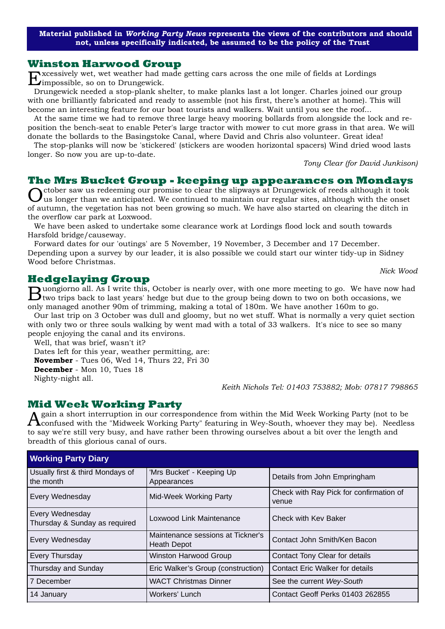**Material published in** *Working Party News* **represents the views of the contributors and should not, unless specifically indicated, be assumed to be the policy of the Trust**

#### **Winston Harwood Group**

Excessively wet, wet weather had made getting cars across the one mile of fields at Lordings impossible, so on to Drungewick.

Drungewick needed a stop-plank shelter, to make planks last a lot longer. Charles joined our group with one brilliantly fabricated and ready to assemble (not his first, there's another at home). This will become an interesting feature for our boat tourists and walkers. Wait until you see the roof...

At the same time we had to remove three large heavy mooring bollards from alongside the lock and reposition the bench-seat to enable Peter's large tractor with mower to cut more grass in that area. We will donate the bollards to the Basingstoke Canal, where David and Chris also volunteer. Great idea!

The stop-planks will now be 'stickered' (stickers are wooden horizontal spacers) Wind dried wood lasts longer. So now you are up-to-date.

*Tony Clear (for David Junkison)* 

#### **The Mrs Bucket Group - keeping up appearances on Mondays**

Crition characteries and the slipways at Drungewick of reeds although it took us longer than we anticipated. We continued to maintain our regular sites, although with the onset of autumn, the vegetation has not been growing so much. We have also started on clearing the ditch in the overflow car park at Loxwood.

We have been asked to undertake some clearance work at Lordings flood lock and south towards Harsfold bridge/causeway.

Forward dates for our 'outings' are 5 November, 19 November, 3 December and 17 December. Depending upon a survey by our leader, it is also possible we could start our winter tidy-up in Sidney Wood before Christmas.

#### **Hedgelaying Group**

Buongiorno all. As I write this, October is nearly over, with one more meeting to go. We have now had two trips back to last years' hedge but due to the group being down to two on both occasions, we only managed another 90m of trimming, making a total of 180m. We have another 160m to go.

Our last trip on 3 October was dull and gloomy, but no wet stuff. What is normally a very quiet section with only two or three souls walking by went mad with a total of 33 walkers. It's nice to see so many people enjoying the canal and its environs.

Well, that was brief, wasn't it?

Dates left for this year, weather permitting, are: **November** - Tues 06, Wed 14, Thurs 22, Fri 30 **December** - Mon 10, Tues 18 Nighty-night all.

*Keith Nichols Tel: 01403 753882; Mob: 07817 798865*

#### **Mid Week Working Party**

gain a short interruption in our correspondence from within the Mid Week Working Party (not to be  $\Lambda$  confused with the "Midweek Working Party" featuring in Wey-South, whoever they may be). Needless to say we're still very busy, and have rather been throwing ourselves about a bit over the length and breadth of this glorious canal of ours.

| <b>Working Party Diary</b>                       |                                                         |                                                  |
|--------------------------------------------------|---------------------------------------------------------|--------------------------------------------------|
| Usually first & third Mondays of<br>the month    | 'Mrs Bucket' - Keeping Up<br>Appearances                | Details from John Empringham                     |
| Every Wednesday                                  | Mid-Week Working Party                                  | Check with Ray Pick for confirmation of<br>venue |
| Every Wednesday<br>Thursday & Sunday as required | Loxwood Link Maintenance                                | Check with Key Baker                             |
| Every Wednesday                                  | Maintenance sessions at Tickner's<br><b>Heath Depot</b> | Contact John Smith/Ken Bacon                     |
| Every Thursday                                   | <b>Winston Harwood Group</b>                            | <b>Contact Tony Clear for details</b>            |
| Thursday and Sunday                              | Eric Walker's Group (construction)                      | <b>Contact Eric Walker for details</b>           |
| 7 December                                       | <b>WACT Christmas Dinner</b>                            | See the current Wey-South                        |
| 14 January                                       | Workers' Lunch                                          | Contact Geoff Perks 01403 262855                 |

*Nick Wood*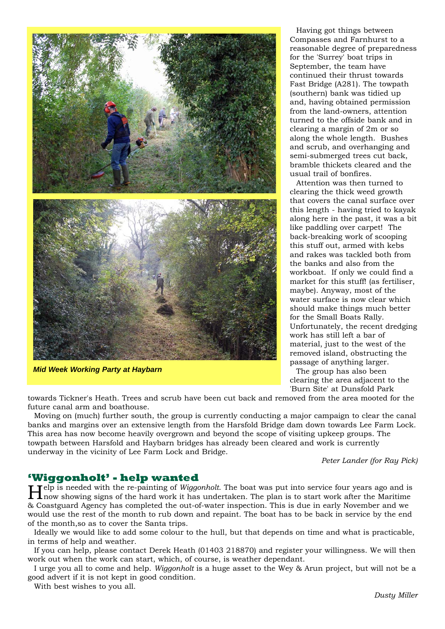

*Mid Week Working Party at Haybarn*

Having got things between Compasses and Farnhurst to a reasonable degree of preparedness for the 'Surrey' boat trips in September, the team have continued their thrust towards Fast Bridge (A281). The towpath (southern) bank was tidied up and, having obtained permission from the land-owners, attention turned to the offside bank and in clearing a margin of 2m or so along the whole length. Bushes and scrub, and overhanging and semi-submerged trees cut back, bramble thickets cleared and the usual trail of bonfires.

Attention was then turned to clearing the thick weed growth that covers the canal surface over this length - having tried to kayak along here in the past, it was a bit like paddling over carpet! The back-breaking work of scooping this stuff out, armed with kebs and rakes was tackled both from the banks and also from the workboat. If only we could find a market for this stuff! (as fertiliser, maybe). Anyway, most of the water surface is now clear which should make things much better for the Small Boats Rally. Unfortunately, the recent dredging work has still left a bar of material, just to the west of the removed island, obstructing the passage of anything larger.

The group has also been clearing the area adjacent to the 'Burn Site' at Dunsfold Park

towards Tickner's Heath. Trees and scrub have been cut back and removed from the area mooted for the future canal arm and boathouse.

Moving on (much) further south, the group is currently conducting a major campaign to clear the canal banks and margins over an extensive length from the Harsfold Bridge dam down towards Lee Farm Lock. This area has now become heavily overgrown and beyond the scope of visiting upkeep groups. The towpath between Harsfold and Haybarn bridges has already been cleared and work is currently underway in the vicinity of Lee Farm Lock and Bridge.

*Peter Lander (for Ray Pick)*

**'Wiggonholt' - help wanted**<br>**T** Telp is needed with the re-painting of *Wiggonholt*. The boat was put into service four years ago and is Help is needed with the re-painting of *Wiggonholt*. The boat was put into service four years ago and is now showing signs of the hard work it has undertaken. The plan is to start work after the Maritime & Coastguard Agency has completed the out-of-water inspection. This is due in early November and we would use the rest of the month to rub down and repaint. The boat has to be back in service by the end of the month,so as to cover the Santa trips.

Ideally we would like to add some colour to the hull, but that depends on time and what is practicable, in terms of help and weather.

If you can help, please contact Derek Heath (01403 218870) and register your willingness. We will then work out when the work can start, which, of course, is weather dependant.

I urge you all to come and help. *Wiggonholt* is a huge asset to the Wey & Arun project, but will not be a good advert if it is not kept in good condition.

With best wishes to you all.